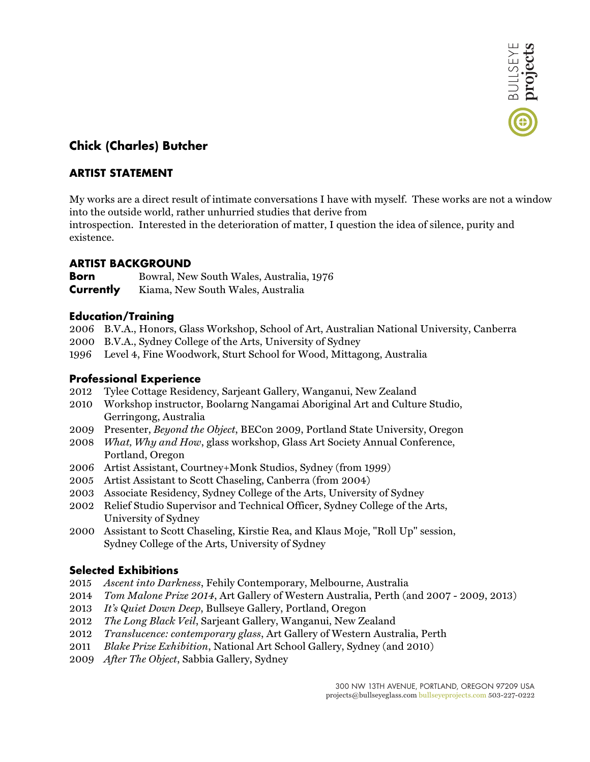

# **Chick (Charles) Butcher**

## **ARTIST STATEMENT**

My works are a direct result of intimate conversations I have with myself. These works are not a window into the outside world, rather unhurried studies that derive from

introspection. Interested in the deterioration of matter, I question the idea of silence, purity and existence.

### **ARTIST BACKGROUND**

**Born** Bowral, New South Wales, Australia, 1976 **Currently** Kiama, New South Wales, Australia

#### **Education/Training**

- 2006 B.V.A., Honors, Glass Workshop, School of Art, Australian National University, Canberra
- 2000 B.V.A., Sydney College of the Arts, University of Sydney
- 1996 Level 4, Fine Woodwork, Sturt School for Wood, Mittagong, Australia

### **Professional Experience**

- 2012 Tylee Cottage Residency, Sarjeant Gallery, Wanganui, New Zealand
- 2010 Workshop instructor, Boolarng Nangamai Aboriginal Art and Culture Studio, Gerringong, Australia
- 2009 Presenter, *Beyond the Object*, BECon 2009, Portland State University, Oregon
- 2008 *What, Why and How*, glass workshop, Glass Art Society Annual Conference, Portland, Oregon
- 2006 Artist Assistant, Courtney+Monk Studios, Sydney (from 1999)
- 2005 Artist Assistant to Scott Chaseling, Canberra (from 2004)
- 2003 Associate Residency, Sydney College of the Arts, University of Sydney
- 2002 Relief Studio Supervisor and Technical Officer, Sydney College of the Arts, University of Sydney
- 2000 Assistant to Scott Chaseling, Kirstie Rea, and Klaus Moje, "Roll Up" session, Sydney College of the Arts, University of Sydney

### **Selected Exhibitions**

- 2015 *Ascent into Darkness*, Fehily Contemporary, Melbourne, Australia
- 2014 *Tom Malone Prize 2014*, Art Gallery of Western Australia, Perth (and 2007 2009, 2013)
- 2013 *It's Quiet Down Deep*, Bullseye Gallery, Portland, Oregon
- 2012 *The Long Black Veil*, Sarjeant Gallery, Wanganui, New Zealand
- 2012 *Translucence: contemporary glass*, Art Gallery of Western Australia, Perth
- 2011 *Blake Prize Exhibition*, National Art School Gallery, Sydney (and 2010)
- 2009 *After The Object*, Sabbia Gallery, Sydney